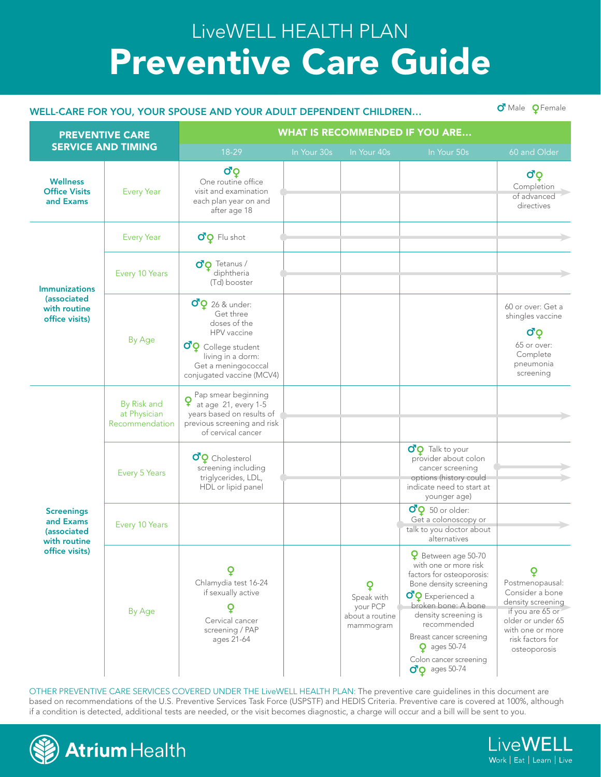## Preventive Care Guide LiveWELL HEALTH PLAN

## WELL-CARE FOR YOU, YOUR SPOUSE AND YOUR ADULT DEPENDENT CHILDREN... O<sup>T</sup> Male QFemale

| <b>PREVENTIVE CARE</b><br><b>SERVICE AND TIMING</b>                                    |                                               | <b>WHAT IS RECOMMENDED IF YOU ARE</b>                                                                                                                                                           |             |                                                             |                                                                                                                                                                                                                                                                                                                                             |                                                                                                                                                          |  |  |  |
|----------------------------------------------------------------------------------------|-----------------------------------------------|-------------------------------------------------------------------------------------------------------------------------------------------------------------------------------------------------|-------------|-------------------------------------------------------------|---------------------------------------------------------------------------------------------------------------------------------------------------------------------------------------------------------------------------------------------------------------------------------------------------------------------------------------------|----------------------------------------------------------------------------------------------------------------------------------------------------------|--|--|--|
|                                                                                        |                                               | 18-29                                                                                                                                                                                           | In Your 30s | In Your 40s                                                 | In Your 50s                                                                                                                                                                                                                                                                                                                                 | 60 and Older                                                                                                                                             |  |  |  |
| <b>Wellness</b><br><b>Office Visits</b><br>and Exams                                   | <b>Every Year</b>                             | σò<br>One routine office<br>visit and examination<br>each plan year on and<br>after age 18                                                                                                      |             |                                                             |                                                                                                                                                                                                                                                                                                                                             | σò<br>Completion<br>of advanced<br>directives                                                                                                            |  |  |  |
| <b>Immunizations</b><br>(associated<br>with routine<br>office visits)                  | <b>Every Year</b>                             | $\sigma$ <sup>o</sup> $\circ$ Flu shot                                                                                                                                                          |             |                                                             |                                                                                                                                                                                                                                                                                                                                             |                                                                                                                                                          |  |  |  |
|                                                                                        | Every 10 Years                                | $\sigma$ <sup>o</sup> Tetanus /<br>diphtheria<br>(Td) booster                                                                                                                                   |             |                                                             |                                                                                                                                                                                                                                                                                                                                             |                                                                                                                                                          |  |  |  |
|                                                                                        | By Age                                        | $\sigma$ <sup>Q</sup> 26 & under:<br>Get three<br>doses of the<br>HPV vaccine<br>$\sigma$ <sup>o</sup> College student<br>living in a dorm:<br>Get a meningococcal<br>conjugated vaccine (MCV4) |             |                                                             |                                                                                                                                                                                                                                                                                                                                             | 60 or over: Get a<br>shingles vaccine<br>σò<br>65 or over:<br>Complete<br>pneumonia<br>screening                                                         |  |  |  |
| <b>Screenings</b><br>and Exams<br><i>(associated</i><br>with routine<br>office visits) | By Risk and<br>at Physician<br>Recommendation | Pap smear beginning<br>at age 21, every 1-5<br>years based on results of<br>previous screening and risk<br>of cervical cancer                                                                   |             |                                                             |                                                                                                                                                                                                                                                                                                                                             |                                                                                                                                                          |  |  |  |
|                                                                                        | Every 5 Years                                 | $\sigma$ <sup>o</sup> Cholesterol<br>screening including<br>triglycerides, LDL,<br>HDL or lipid panel                                                                                           |             |                                                             | OQ Talk to your<br>provider about colon<br>cancer screening<br>options (history could<br>indicate need to start at<br>younger age)                                                                                                                                                                                                          |                                                                                                                                                          |  |  |  |
|                                                                                        | Every 10 Years                                |                                                                                                                                                                                                 |             |                                                             | $\sigma$ <sup>Q</sup> 50 or older:<br>Get a colonoscopy or<br>talk to you doctor about<br>alternatives                                                                                                                                                                                                                                      |                                                                                                                                                          |  |  |  |
|                                                                                        | By Age                                        | Q<br>Chlamydia test 16-24<br>if sexually active<br>Cervical cancer<br>screening / PAP<br>ages 21-64                                                                                             |             | ò<br>Speak with<br>your PCP<br>about a routine<br>mammogram | <b>Q</b> Between age 50-70<br>with one or more risk<br>factors for osteoporosis:<br>Bone density screening<br>$\sigma$ <sup>o</sup> Experienced a<br>broken bone: A bone<br>density screening is<br>recommended<br>Breast cancer screening<br>$\mathbf Q$ ages 50-74<br>Colon cancer screening<br>$\sigma$ <sup>o</sup> $\sigma$ ages 50-74 | Postmenopausal:<br>Consider a bone<br>density screening<br>if you are 65 or<br>older or under 65<br>with one or more<br>risk factors for<br>osteoporosis |  |  |  |

OTHER PREVENTIVE CARE SERVICES COVERED UNDER THE LiveWELL HEALTH PLAN: The preventive care guidelines in this document are based on recommendations of the U.S. Preventive Services Task Force (USPSTF) and HEDIS Criteria. Preventive care is covered at 100%, although if a condition is detected, additional tests are needed, or the visit becomes diagnostic, a charge will occur and a bill will be sent to you.